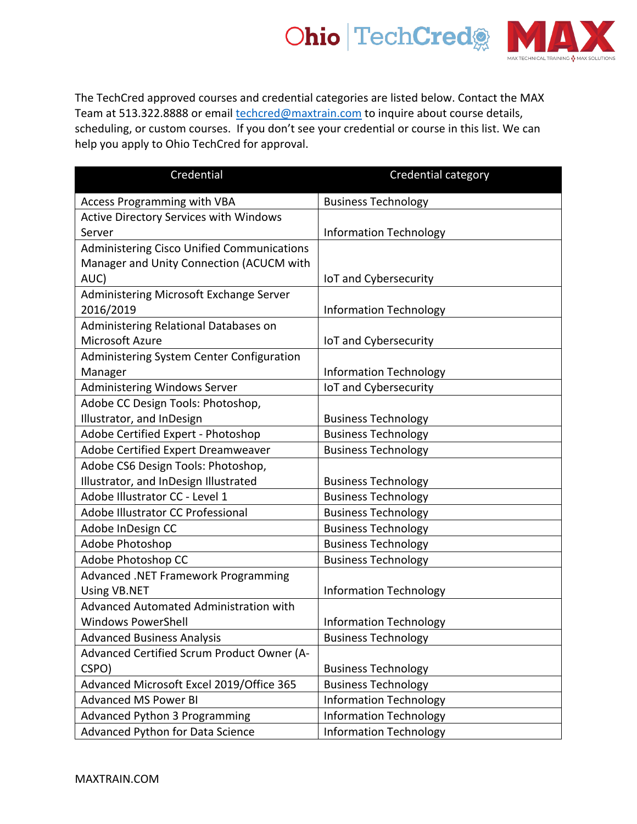

The TechCred approved courses and credential categories are listed below. Contact the MAX Team at 513.322.8888 or email *techcred@maxtrain.com* to inquire about course details, scheduling, or custom courses. If you don't see your credential or course in this list. We can help you apply to Ohio TechCred for approval.

| Credential                                        | Credential category           |
|---------------------------------------------------|-------------------------------|
| <b>Access Programming with VBA</b>                | <b>Business Technology</b>    |
| <b>Active Directory Services with Windows</b>     |                               |
| Server                                            | <b>Information Technology</b> |
| <b>Administering Cisco Unified Communications</b> |                               |
| Manager and Unity Connection (ACUCM with          |                               |
| AUC)                                              | IoT and Cybersecurity         |
| Administering Microsoft Exchange Server           |                               |
| 2016/2019                                         | <b>Information Technology</b> |
| Administering Relational Databases on             |                               |
| Microsoft Azure                                   | IoT and Cybersecurity         |
| Administering System Center Configuration         |                               |
| Manager                                           | <b>Information Technology</b> |
| <b>Administering Windows Server</b>               | IoT and Cybersecurity         |
| Adobe CC Design Tools: Photoshop,                 |                               |
| Illustrator, and InDesign                         | <b>Business Technology</b>    |
| Adobe Certified Expert - Photoshop                | <b>Business Technology</b>    |
| Adobe Certified Expert Dreamweaver                | <b>Business Technology</b>    |
| Adobe CS6 Design Tools: Photoshop,                |                               |
| Illustrator, and InDesign Illustrated             | <b>Business Technology</b>    |
| Adobe Illustrator CC - Level 1                    | <b>Business Technology</b>    |
| Adobe Illustrator CC Professional                 | <b>Business Technology</b>    |
| Adobe InDesign CC                                 | <b>Business Technology</b>    |
| Adobe Photoshop                                   | <b>Business Technology</b>    |
| Adobe Photoshop CC                                | <b>Business Technology</b>    |
| Advanced .NET Framework Programming               |                               |
| <b>Using VB.NET</b>                               | <b>Information Technology</b> |
| Advanced Automated Administration with            |                               |
| <b>Windows PowerShell</b>                         | <b>Information Technology</b> |
| <b>Advanced Business Analysis</b>                 | <b>Business Technology</b>    |
| Advanced Certified Scrum Product Owner (A-        |                               |
| CSPO)                                             | <b>Business Technology</b>    |
| Advanced Microsoft Excel 2019/Office 365          | <b>Business Technology</b>    |
| <b>Advanced MS Power BI</b>                       | <b>Information Technology</b> |
| <b>Advanced Python 3 Programming</b>              | <b>Information Technology</b> |
| Advanced Python for Data Science                  | <b>Information Technology</b> |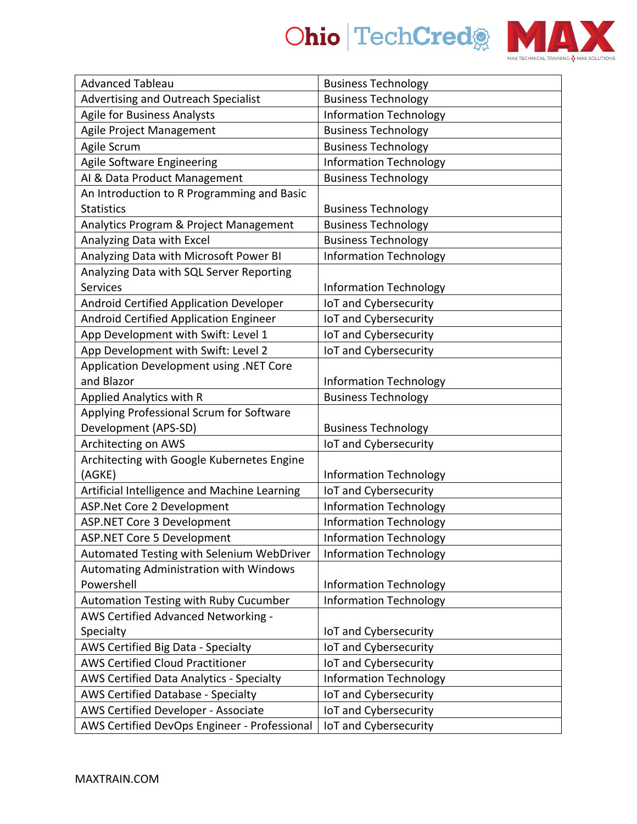

| <b>Advanced Tableau</b>                         | <b>Business Technology</b>    |
|-------------------------------------------------|-------------------------------|
| Advertising and Outreach Specialist             | <b>Business Technology</b>    |
| <b>Agile for Business Analysts</b>              | <b>Information Technology</b> |
| Agile Project Management                        | <b>Business Technology</b>    |
| Agile Scrum                                     | <b>Business Technology</b>    |
| Agile Software Engineering                      | <b>Information Technology</b> |
| AI & Data Product Management                    | <b>Business Technology</b>    |
| An Introduction to R Programming and Basic      |                               |
| <b>Statistics</b>                               | <b>Business Technology</b>    |
| Analytics Program & Project Management          | <b>Business Technology</b>    |
| Analyzing Data with Excel                       | <b>Business Technology</b>    |
| Analyzing Data with Microsoft Power BI          | <b>Information Technology</b> |
| Analyzing Data with SQL Server Reporting        |                               |
| Services                                        | <b>Information Technology</b> |
| Android Certified Application Developer         | IoT and Cybersecurity         |
| Android Certified Application Engineer          | IoT and Cybersecurity         |
| App Development with Swift: Level 1             | IoT and Cybersecurity         |
| App Development with Swift: Level 2             | IoT and Cybersecurity         |
| Application Development using .NET Core         |                               |
| and Blazor                                      | <b>Information Technology</b> |
| <b>Applied Analytics with R</b>                 | <b>Business Technology</b>    |
| Applying Professional Scrum for Software        |                               |
| Development (APS-SD)                            | <b>Business Technology</b>    |
| Architecting on AWS                             | IoT and Cybersecurity         |
| Architecting with Google Kubernetes Engine      |                               |
| (AGKE)                                          | <b>Information Technology</b> |
| Artificial Intelligence and Machine Learning    | IoT and Cybersecurity         |
| ASP.Net Core 2 Development                      | <b>Information Technology</b> |
| <b>ASP.NET Core 3 Development</b>               | <b>Information Technology</b> |
| <b>ASP.NET Core 5 Development</b>               | <b>Information Technology</b> |
| Automated Testing with Selenium WebDriver       | <b>Information Technology</b> |
| Automating Administration with Windows          |                               |
| Powershell                                      | <b>Information Technology</b> |
| Automation Testing with Ruby Cucumber           | <b>Information Technology</b> |
| AWS Certified Advanced Networking -             |                               |
| Specialty                                       | IoT and Cybersecurity         |
| AWS Certified Big Data - Specialty              | IoT and Cybersecurity         |
| <b>AWS Certified Cloud Practitioner</b>         | IoT and Cybersecurity         |
| <b>AWS Certified Data Analytics - Specialty</b> | <b>Information Technology</b> |
| <b>AWS Certified Database - Specialty</b>       | IoT and Cybersecurity         |
| <b>AWS Certified Developer - Associate</b>      | IoT and Cybersecurity         |
| AWS Certified DevOps Engineer - Professional    | IoT and Cybersecurity         |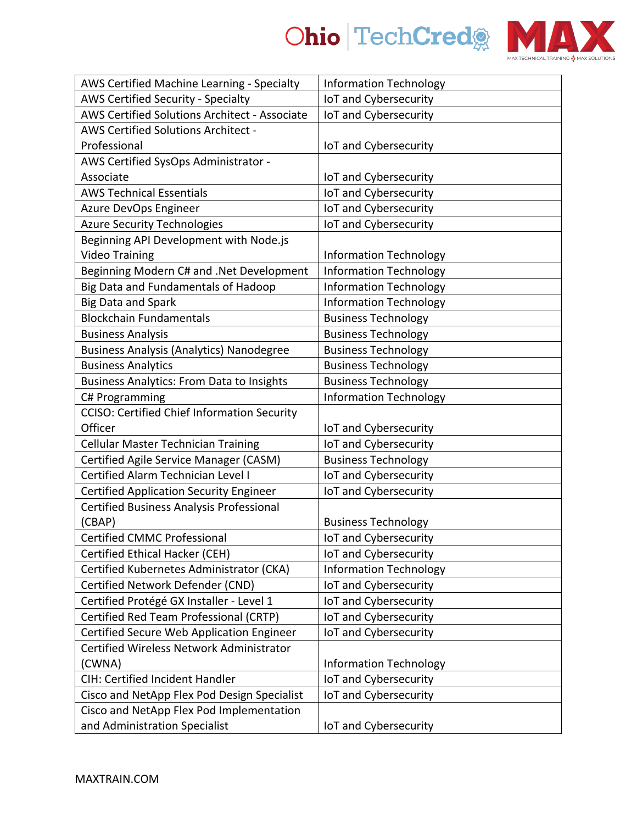



| AWS Certified Machine Learning - Specialty         | <b>Information Technology</b> |
|----------------------------------------------------|-------------------------------|
| AWS Certified Security - Specialty                 | IoT and Cybersecurity         |
| AWS Certified Solutions Architect - Associate      | IoT and Cybersecurity         |
| AWS Certified Solutions Architect -                |                               |
| Professional                                       | IoT and Cybersecurity         |
| AWS Certified SysOps Administrator -               |                               |
| Associate                                          | IoT and Cybersecurity         |
| <b>AWS Technical Essentials</b>                    | IoT and Cybersecurity         |
| Azure DevOps Engineer                              | IoT and Cybersecurity         |
| <b>Azure Security Technologies</b>                 | IoT and Cybersecurity         |
| Beginning API Development with Node.js             |                               |
| <b>Video Training</b>                              | <b>Information Technology</b> |
| Beginning Modern C# and .Net Development           | <b>Information Technology</b> |
| Big Data and Fundamentals of Hadoop                | <b>Information Technology</b> |
| <b>Big Data and Spark</b>                          | <b>Information Technology</b> |
| <b>Blockchain Fundamentals</b>                     | <b>Business Technology</b>    |
| <b>Business Analysis</b>                           | <b>Business Technology</b>    |
| <b>Business Analysis (Analytics) Nanodegree</b>    | <b>Business Technology</b>    |
| <b>Business Analytics</b>                          | <b>Business Technology</b>    |
| <b>Business Analytics: From Data to Insights</b>   | <b>Business Technology</b>    |
| C# Programming                                     | <b>Information Technology</b> |
| <b>CCISO: Certified Chief Information Security</b> |                               |
| Officer                                            | IoT and Cybersecurity         |
| <b>Cellular Master Technician Training</b>         | IoT and Cybersecurity         |
| Certified Agile Service Manager (CASM)             | <b>Business Technology</b>    |
| Certified Alarm Technician Level I                 | IoT and Cybersecurity         |
| <b>Certified Application Security Engineer</b>     | IoT and Cybersecurity         |
| Certified Business Analysis Professional           |                               |
| (CBAP)                                             | <b>Business Technology</b>    |
| <b>Certified CMMC Professional</b>                 | IoT and Cybersecurity         |
| Certified Ethical Hacker (CEH)                     | IoT and Cybersecurity         |
| Certified Kubernetes Administrator (CKA)           | <b>Information Technology</b> |
| Certified Network Defender (CND)                   | IoT and Cybersecurity         |
| Certified Protégé GX Installer - Level 1           | IoT and Cybersecurity         |
| Certified Red Team Professional (CRTP)             | IoT and Cybersecurity         |
| Certified Secure Web Application Engineer          | IoT and Cybersecurity         |
| Certified Wireless Network Administrator           |                               |
| (CWNA)                                             | <b>Information Technology</b> |
| CIH: Certified Incident Handler                    | IoT and Cybersecurity         |
| Cisco and NetApp Flex Pod Design Specialist        | IoT and Cybersecurity         |
| Cisco and NetApp Flex Pod Implementation           |                               |
| and Administration Specialist                      | IoT and Cybersecurity         |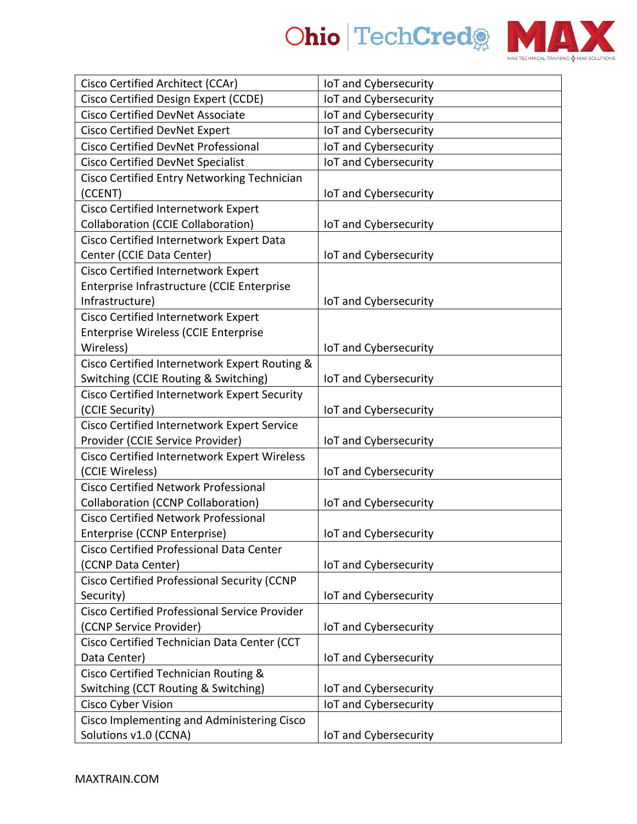



| Cisco Certified Architect (CCAr)                     | IoT and Cybersecurity |
|------------------------------------------------------|-----------------------|
| Cisco Certified Design Expert (CCDE)                 | IoT and Cybersecurity |
| <b>Cisco Certified DevNet Associate</b>              | IoT and Cybersecurity |
| <b>Cisco Certified DevNet Expert</b>                 | IoT and Cybersecurity |
| <b>Cisco Certified DevNet Professional</b>           | IoT and Cybersecurity |
| <b>Cisco Certified DevNet Specialist</b>             | IoT and Cybersecurity |
| Cisco Certified Entry Networking Technician          |                       |
| (CCENT)                                              | IoT and Cybersecurity |
| Cisco Certified Internetwork Expert                  |                       |
| <b>Collaboration (CCIE Collaboration)</b>            | IoT and Cybersecurity |
| Cisco Certified Internetwork Expert Data             |                       |
| Center (CCIE Data Center)                            | IoT and Cybersecurity |
| Cisco Certified Internetwork Expert                  |                       |
| Enterprise Infrastructure (CCIE Enterprise           |                       |
| Infrastructure)                                      | IoT and Cybersecurity |
| Cisco Certified Internetwork Expert                  |                       |
| <b>Enterprise Wireless (CCIE Enterprise</b>          |                       |
| Wireless)                                            | IoT and Cybersecurity |
| Cisco Certified Internetwork Expert Routing &        |                       |
| Switching (CCIE Routing & Switching)                 | IoT and Cybersecurity |
| Cisco Certified Internetwork Expert Security         |                       |
| (CCIE Security)                                      | IoT and Cybersecurity |
| Cisco Certified Internetwork Expert Service          |                       |
| Provider (CCIE Service Provider)                     | IoT and Cybersecurity |
| Cisco Certified Internetwork Expert Wireless         |                       |
| (CCIE Wireless)                                      | IoT and Cybersecurity |
| <b>Cisco Certified Network Professional</b>          |                       |
| <b>Collaboration (CCNP Collaboration)</b>            | IoT and Cybersecurity |
| <b>Cisco Certified Network Professional</b>          |                       |
| Enterprise (CCNP Enterprise)                         | IoT and Cybersecurity |
| Cisco Certified Professional Data Center             |                       |
| (CCNP Data Center)                                   | IoT and Cybersecurity |
| Cisco Certified Professional Security (CCNP          |                       |
| Security)                                            | IoT and Cybersecurity |
| <b>Cisco Certified Professional Service Provider</b> |                       |
| (CCNP Service Provider)                              | IoT and Cybersecurity |
| Cisco Certified Technician Data Center (CCT          |                       |
| Data Center)                                         | IoT and Cybersecurity |
| Cisco Certified Technician Routing &                 |                       |
| Switching (CCT Routing & Switching)                  | IoT and Cybersecurity |
| Cisco Cyber Vision                                   | IoT and Cybersecurity |
| Cisco Implementing and Administering Cisco           |                       |
| Solutions v1.0 (CCNA)                                | IoT and Cybersecurity |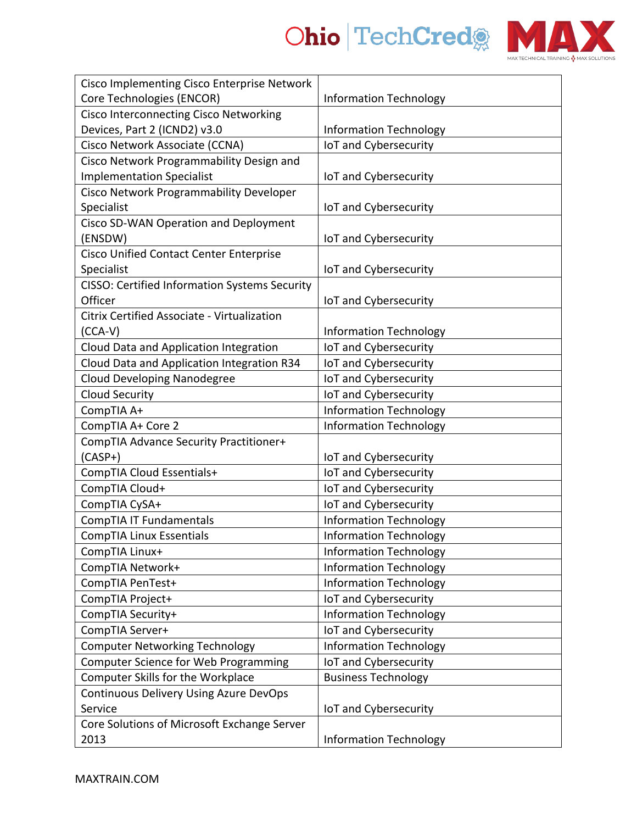

| Cisco Implementing Cisco Enterprise Network          |                               |
|------------------------------------------------------|-------------------------------|
| Core Technologies (ENCOR)                            | <b>Information Technology</b> |
| <b>Cisco Interconnecting Cisco Networking</b>        |                               |
| Devices, Part 2 (ICND2) v3.0                         | <b>Information Technology</b> |
| Cisco Network Associate (CCNA)                       | IoT and Cybersecurity         |
| Cisco Network Programmability Design and             |                               |
| <b>Implementation Specialist</b>                     | IoT and Cybersecurity         |
| Cisco Network Programmability Developer              |                               |
| Specialist                                           | IoT and Cybersecurity         |
| Cisco SD-WAN Operation and Deployment                |                               |
| (ENSDW)                                              | IoT and Cybersecurity         |
| <b>Cisco Unified Contact Center Enterprise</b>       |                               |
| Specialist                                           | IoT and Cybersecurity         |
| <b>CISSO: Certified Information Systems Security</b> |                               |
| Officer                                              | IoT and Cybersecurity         |
| Citrix Certified Associate - Virtualization          |                               |
| $(CCA-V)$                                            | <b>Information Technology</b> |
| Cloud Data and Application Integration               | IoT and Cybersecurity         |
| Cloud Data and Application Integration R34           | IoT and Cybersecurity         |
| <b>Cloud Developing Nanodegree</b>                   | IoT and Cybersecurity         |
| <b>Cloud Security</b>                                | IoT and Cybersecurity         |
| CompTIA A+                                           | <b>Information Technology</b> |
| CompTIA A+ Core 2                                    | <b>Information Technology</b> |
| CompTIA Advance Security Practitioner+               |                               |
| $(CASP+)$                                            | IoT and Cybersecurity         |
| CompTIA Cloud Essentials+                            | IoT and Cybersecurity         |
| CompTIA Cloud+                                       | IoT and Cybersecurity         |
| CompTIA CySA+                                        | IoT and Cybersecurity         |
| CompTIA IT Fundamentals                              | <b>Information Technology</b> |
| CompTIA Linux Essentials                             | <b>Information Technology</b> |
| CompTIA Linux+                                       | <b>Information Technology</b> |
| CompTIA Network+                                     | <b>Information Technology</b> |
| CompTIA PenTest+                                     | <b>Information Technology</b> |
| CompTIA Project+                                     | IoT and Cybersecurity         |
| CompTIA Security+                                    | <b>Information Technology</b> |
| CompTIA Server+                                      | IoT and Cybersecurity         |
| <b>Computer Networking Technology</b>                | <b>Information Technology</b> |
| Computer Science for Web Programming                 | IoT and Cybersecurity         |
| Computer Skills for the Workplace                    | <b>Business Technology</b>    |
| Continuous Delivery Using Azure DevOps               |                               |
| Service                                              | IoT and Cybersecurity         |
| Core Solutions of Microsoft Exchange Server          |                               |
| 2013                                                 | <b>Information Technology</b> |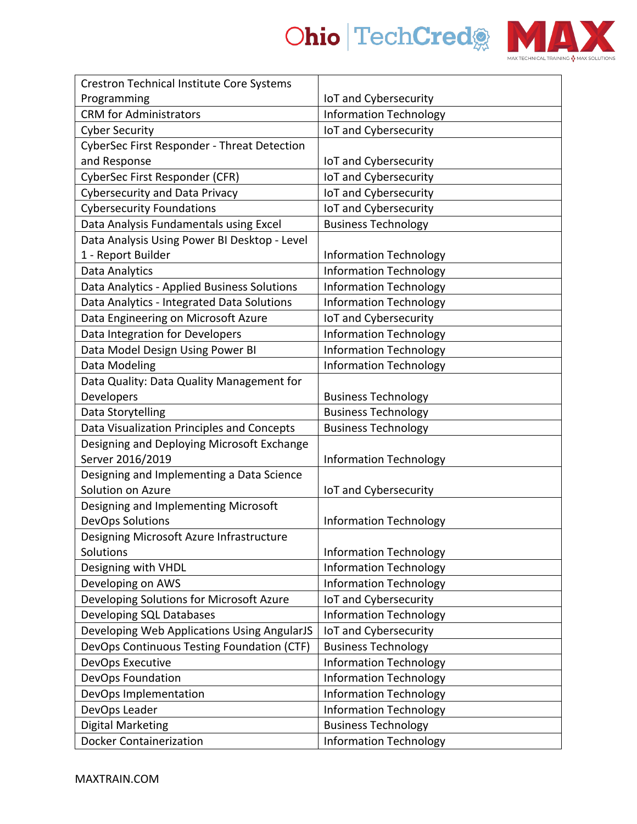



| <b>Crestron Technical Institute Core Systems</b>   |                               |
|----------------------------------------------------|-------------------------------|
| Programming                                        | IoT and Cybersecurity         |
| <b>CRM</b> for Administrators                      | <b>Information Technology</b> |
| <b>Cyber Security</b>                              | IoT and Cybersecurity         |
| <b>CyberSec First Responder - Threat Detection</b> |                               |
| and Response                                       | IoT and Cybersecurity         |
| CyberSec First Responder (CFR)                     | IoT and Cybersecurity         |
| <b>Cybersecurity and Data Privacy</b>              | IoT and Cybersecurity         |
| <b>Cybersecurity Foundations</b>                   | IoT and Cybersecurity         |
| Data Analysis Fundamentals using Excel             | <b>Business Technology</b>    |
| Data Analysis Using Power BI Desktop - Level       |                               |
| 1 - Report Builder                                 | <b>Information Technology</b> |
| Data Analytics                                     | <b>Information Technology</b> |
| Data Analytics - Applied Business Solutions        | <b>Information Technology</b> |
| Data Analytics - Integrated Data Solutions         | <b>Information Technology</b> |
| Data Engineering on Microsoft Azure                | IoT and Cybersecurity         |
| Data Integration for Developers                    | <b>Information Technology</b> |
| Data Model Design Using Power BI                   | <b>Information Technology</b> |
| Data Modeling                                      | <b>Information Technology</b> |
| Data Quality: Data Quality Management for          |                               |
| Developers                                         | <b>Business Technology</b>    |
| Data Storytelling                                  | <b>Business Technology</b>    |
| Data Visualization Principles and Concepts         | <b>Business Technology</b>    |
| Designing and Deploying Microsoft Exchange         |                               |
| Server 2016/2019                                   | <b>Information Technology</b> |
| Designing and Implementing a Data Science          |                               |
| Solution on Azure                                  | IoT and Cybersecurity         |
| Designing and Implementing Microsoft               |                               |
| <b>DevOps Solutions</b>                            | <b>Information Technology</b> |
| Designing Microsoft Azure Infrastructure           |                               |
| Solutions                                          | <b>Information Technology</b> |
| Designing with VHDL                                | <b>Information Technology</b> |
| Developing on AWS                                  | <b>Information Technology</b> |
| Developing Solutions for Microsoft Azure           | IoT and Cybersecurity         |
| Developing SQL Databases                           | <b>Information Technology</b> |
| Developing Web Applications Using AngularJS        | IoT and Cybersecurity         |
| DevOps Continuous Testing Foundation (CTF)         | <b>Business Technology</b>    |
| DevOps Executive                                   | <b>Information Technology</b> |
| DevOps Foundation                                  | <b>Information Technology</b> |
| DevOps Implementation                              | <b>Information Technology</b> |
| DevOps Leader                                      | <b>Information Technology</b> |
| <b>Digital Marketing</b>                           | <b>Business Technology</b>    |
| <b>Docker Containerization</b>                     | <b>Information Technology</b> |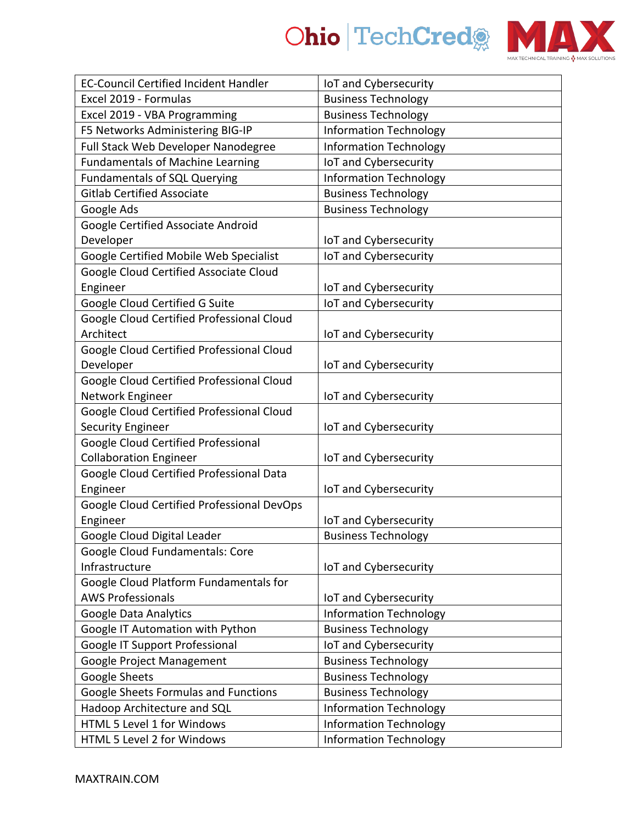



| <b>EC-Council Certified Incident Handler</b>                       | IoT and Cybersecurity         |
|--------------------------------------------------------------------|-------------------------------|
| Excel 2019 - Formulas                                              | <b>Business Technology</b>    |
| Excel 2019 - VBA Programming                                       | <b>Business Technology</b>    |
| F5 Networks Administering BIG-IP                                   | <b>Information Technology</b> |
| Full Stack Web Developer Nanodegree                                | <b>Information Technology</b> |
| <b>Fundamentals of Machine Learning</b>                            | IoT and Cybersecurity         |
| <b>Fundamentals of SQL Querying</b>                                | <b>Information Technology</b> |
| <b>Gitlab Certified Associate</b>                                  | <b>Business Technology</b>    |
| Google Ads                                                         | <b>Business Technology</b>    |
| Google Certified Associate Android                                 |                               |
| Developer                                                          | IoT and Cybersecurity         |
| Google Certified Mobile Web Specialist                             | IoT and Cybersecurity         |
| Google Cloud Certified Associate Cloud                             |                               |
| Engineer                                                           | IoT and Cybersecurity         |
| Google Cloud Certified G Suite                                     | IoT and Cybersecurity         |
| Google Cloud Certified Professional Cloud                          |                               |
| Architect                                                          | IoT and Cybersecurity         |
| Google Cloud Certified Professional Cloud                          |                               |
| Developer                                                          | IoT and Cybersecurity         |
| Google Cloud Certified Professional Cloud                          |                               |
| Network Engineer                                                   | IoT and Cybersecurity         |
| Google Cloud Certified Professional Cloud                          |                               |
| <b>Security Engineer</b>                                           | IoT and Cybersecurity         |
| Google Cloud Certified Professional                                |                               |
| <b>Collaboration Engineer</b>                                      | IoT and Cybersecurity         |
| Google Cloud Certified Professional Data                           |                               |
| Engineer                                                           | IoT and Cybersecurity         |
| Google Cloud Certified Professional DevOps                         |                               |
| Engineer                                                           | IoT and Cybersecurity         |
| Google Cloud Digital Leader                                        | <b>Business Technology</b>    |
| Google Cloud Fundamentals: Core                                    |                               |
| Infrastructure                                                     | IoT and Cybersecurity         |
| Google Cloud Platform Fundamentals for<br><b>AWS Professionals</b> |                               |
|                                                                    | IoT and Cybersecurity         |
| Google Data Analytics                                              | <b>Information Technology</b> |
| Google IT Automation with Python                                   | <b>Business Technology</b>    |
| Google IT Support Professional                                     | IoT and Cybersecurity         |
| Google Project Management                                          | <b>Business Technology</b>    |
| <b>Google Sheets</b>                                               | <b>Business Technology</b>    |
| Google Sheets Formulas and Functions                               | <b>Business Technology</b>    |
| Hadoop Architecture and SQL                                        | <b>Information Technology</b> |
| HTML 5 Level 1 for Windows                                         | <b>Information Technology</b> |
| HTML 5 Level 2 for Windows                                         | <b>Information Technology</b> |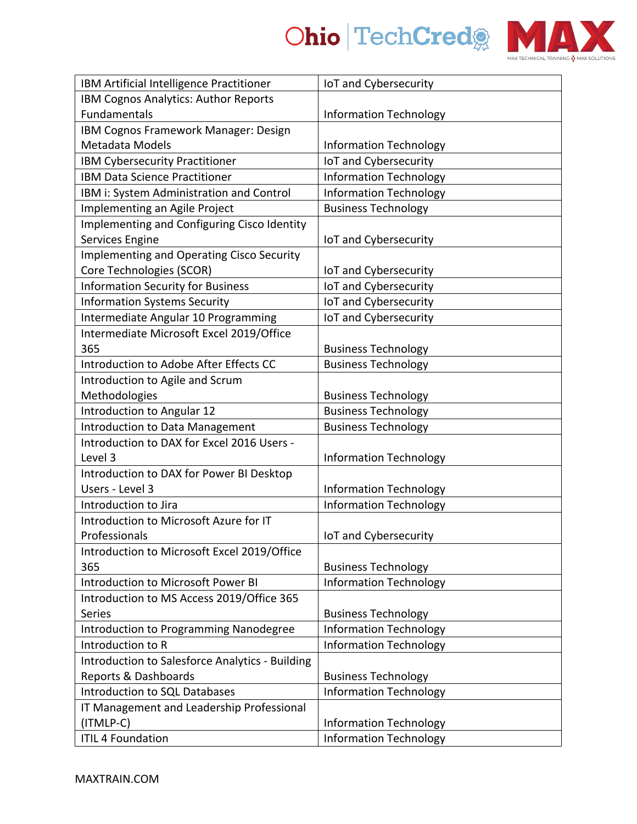

| IBM Artificial Intelligence Practitioner               | IoT and Cybersecurity         |
|--------------------------------------------------------|-------------------------------|
| IBM Cognos Analytics: Author Reports                   |                               |
| Fundamentals                                           | <b>Information Technology</b> |
| IBM Cognos Framework Manager: Design                   |                               |
| Metadata Models                                        | <b>Information Technology</b> |
| IBM Cybersecurity Practitioner                         | IoT and Cybersecurity         |
| <b>IBM Data Science Practitioner</b>                   | <b>Information Technology</b> |
| IBM i: System Administration and Control               | <b>Information Technology</b> |
| Implementing an Agile Project                          | <b>Business Technology</b>    |
| Implementing and Configuring Cisco Identity            |                               |
| Services Engine                                        | IoT and Cybersecurity         |
| <b>Implementing and Operating Cisco Security</b>       |                               |
| Core Technologies (SCOR)                               | IoT and Cybersecurity         |
| <b>Information Security for Business</b>               | IoT and Cybersecurity         |
| <b>Information Systems Security</b>                    | IoT and Cybersecurity         |
| Intermediate Angular 10 Programming                    | IoT and Cybersecurity         |
| Intermediate Microsoft Excel 2019/Office               |                               |
| 365                                                    | <b>Business Technology</b>    |
| Introduction to Adobe After Effects CC                 | <b>Business Technology</b>    |
| Introduction to Agile and Scrum                        |                               |
| Methodologies                                          | <b>Business Technology</b>    |
| Introduction to Angular 12                             | <b>Business Technology</b>    |
| Introduction to Data Management                        | <b>Business Technology</b>    |
| Introduction to DAX for Excel 2016 Users -             |                               |
| Level 3                                                | <b>Information Technology</b> |
| Introduction to DAX for Power BI Desktop               |                               |
| Users - Level 3                                        | <b>Information Technology</b> |
| Introduction to Jira                                   | <b>Information Technology</b> |
| Introduction to Microsoft Azure for IT                 |                               |
| Professionals                                          | IoT and Cybersecurity         |
| Introduction to Microsoft Excel 2019/Office            |                               |
| 365                                                    | <b>Business Technology</b>    |
| Introduction to Microsoft Power BI                     | <b>Information Technology</b> |
| Introduction to MS Access 2019/Office 365              |                               |
| Series                                                 | <b>Business Technology</b>    |
| <b>Introduction to Programming Nanodegree</b>          | <b>Information Technology</b> |
| Introduction to R                                      | <b>Information Technology</b> |
| <b>Introduction to Salesforce Analytics - Building</b> |                               |
| Reports & Dashboards                                   | <b>Business Technology</b>    |
| Introduction to SQL Databases                          | <b>Information Technology</b> |
| IT Management and Leadership Professional              |                               |
| (ITMLP-C)                                              | <b>Information Technology</b> |
| <b>ITIL 4 Foundation</b>                               | <b>Information Technology</b> |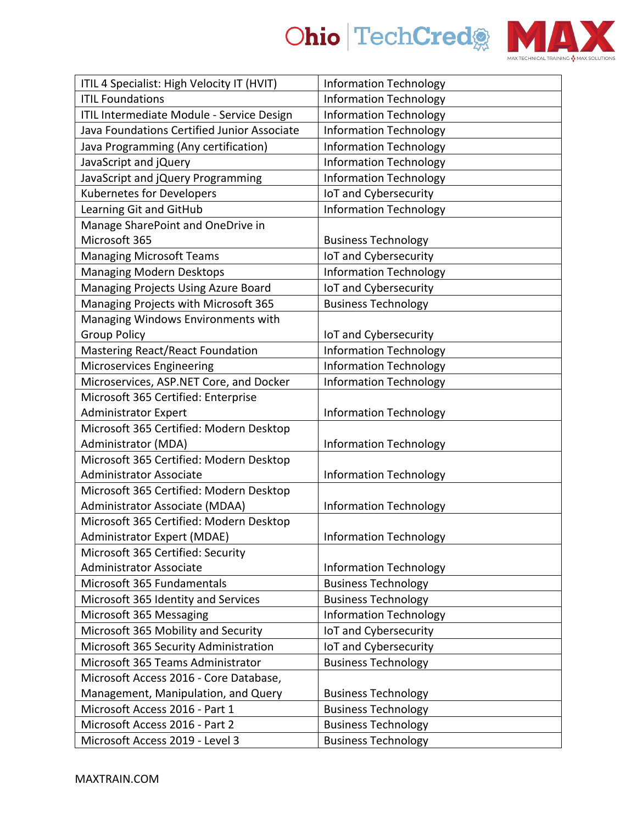

| ITIL 4 Specialist: High Velocity IT (HVIT)  | <b>Information Technology</b> |
|---------------------------------------------|-------------------------------|
| <b>ITIL Foundations</b>                     | <b>Information Technology</b> |
| ITIL Intermediate Module - Service Design   | <b>Information Technology</b> |
| Java Foundations Certified Junior Associate | <b>Information Technology</b> |
| Java Programming (Any certification)        | <b>Information Technology</b> |
| JavaScript and jQuery                       | <b>Information Technology</b> |
| JavaScript and jQuery Programming           | <b>Information Technology</b> |
| <b>Kubernetes for Developers</b>            | IoT and Cybersecurity         |
| Learning Git and GitHub                     | <b>Information Technology</b> |
| Manage SharePoint and OneDrive in           |                               |
| Microsoft 365                               | <b>Business Technology</b>    |
| <b>Managing Microsoft Teams</b>             | IoT and Cybersecurity         |
| <b>Managing Modern Desktops</b>             | <b>Information Technology</b> |
| Managing Projects Using Azure Board         | IoT and Cybersecurity         |
| Managing Projects with Microsoft 365        | <b>Business Technology</b>    |
| Managing Windows Environments with          |                               |
| <b>Group Policy</b>                         | IoT and Cybersecurity         |
| <b>Mastering React/React Foundation</b>     | <b>Information Technology</b> |
| Microservices Engineering                   | <b>Information Technology</b> |
| Microservices, ASP.NET Core, and Docker     | <b>Information Technology</b> |
| Microsoft 365 Certified: Enterprise         |                               |
| <b>Administrator Expert</b>                 | <b>Information Technology</b> |
| Microsoft 365 Certified: Modern Desktop     |                               |
| Administrator (MDA)                         | <b>Information Technology</b> |
| Microsoft 365 Certified: Modern Desktop     |                               |
| <b>Administrator Associate</b>              | <b>Information Technology</b> |
| Microsoft 365 Certified: Modern Desktop     |                               |
| Administrator Associate (MDAA)              | <b>Information Technology</b> |
| Microsoft 365 Certified: Modern Desktop     |                               |
| Administrator Expert (MDAE)                 | <b>Information Technology</b> |
| Microsoft 365 Certified: Security           |                               |
| <b>Administrator Associate</b>              | <b>Information Technology</b> |
| Microsoft 365 Fundamentals                  | <b>Business Technology</b>    |
| Microsoft 365 Identity and Services         | <b>Business Technology</b>    |
| Microsoft 365 Messaging                     | <b>Information Technology</b> |
| Microsoft 365 Mobility and Security         | IoT and Cybersecurity         |
| Microsoft 365 Security Administration       | IoT and Cybersecurity         |
| Microsoft 365 Teams Administrator           | <b>Business Technology</b>    |
| Microsoft Access 2016 - Core Database,      |                               |
| Management, Manipulation, and Query         | <b>Business Technology</b>    |
| Microsoft Access 2016 - Part 1              | <b>Business Technology</b>    |
| Microsoft Access 2016 - Part 2              | <b>Business Technology</b>    |
| Microsoft Access 2019 - Level 3             | <b>Business Technology</b>    |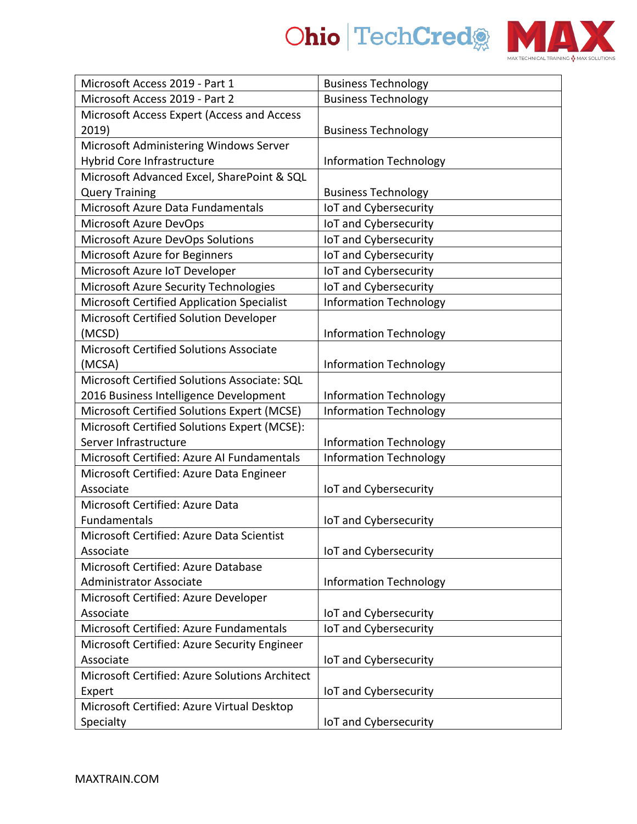



| Microsoft Access 2019 - Part 1                 | <b>Business Technology</b>    |
|------------------------------------------------|-------------------------------|
| Microsoft Access 2019 - Part 2                 | <b>Business Technology</b>    |
| Microsoft Access Expert (Access and Access     |                               |
| 2019)                                          | <b>Business Technology</b>    |
| Microsoft Administering Windows Server         |                               |
| <b>Hybrid Core Infrastructure</b>              | <b>Information Technology</b> |
| Microsoft Advanced Excel, SharePoint & SQL     |                               |
| <b>Query Training</b>                          | <b>Business Technology</b>    |
| Microsoft Azure Data Fundamentals              | IoT and Cybersecurity         |
| Microsoft Azure DevOps                         | IoT and Cybersecurity         |
| Microsoft Azure DevOps Solutions               | IoT and Cybersecurity         |
| Microsoft Azure for Beginners                  | IoT and Cybersecurity         |
| Microsoft Azure IoT Developer                  | IoT and Cybersecurity         |
| Microsoft Azure Security Technologies          | IoT and Cybersecurity         |
| Microsoft Certified Application Specialist     | <b>Information Technology</b> |
| Microsoft Certified Solution Developer         |                               |
| (MCSD)                                         | <b>Information Technology</b> |
| Microsoft Certified Solutions Associate        |                               |
| (MCSA)                                         | <b>Information Technology</b> |
| Microsoft Certified Solutions Associate: SQL   |                               |
| 2016 Business Intelligence Development         | <b>Information Technology</b> |
| Microsoft Certified Solutions Expert (MCSE)    | <b>Information Technology</b> |
| Microsoft Certified Solutions Expert (MCSE):   |                               |
| Server Infrastructure                          | <b>Information Technology</b> |
| Microsoft Certified: Azure AI Fundamentals     | <b>Information Technology</b> |
| Microsoft Certified: Azure Data Engineer       |                               |
| Associate                                      | IoT and Cybersecurity         |
| Microsoft Certified: Azure Data                |                               |
| Fundamentals                                   | IoT and Cybersecurity         |
| Microsoft Certified: Azure Data Scientist      |                               |
| Associate                                      | IoT and Cybersecurity         |
| Microsoft Certified: Azure Database            |                               |
| <b>Administrator Associate</b>                 | <b>Information Technology</b> |
| Microsoft Certified: Azure Developer           |                               |
| Associate                                      | IoT and Cybersecurity         |
| Microsoft Certified: Azure Fundamentals        | IoT and Cybersecurity         |
| Microsoft Certified: Azure Security Engineer   |                               |
| Associate                                      | IoT and Cybersecurity         |
| Microsoft Certified: Azure Solutions Architect |                               |
| Expert                                         | IoT and Cybersecurity         |
| Microsoft Certified: Azure Virtual Desktop     |                               |
| Specialty                                      | IoT and Cybersecurity         |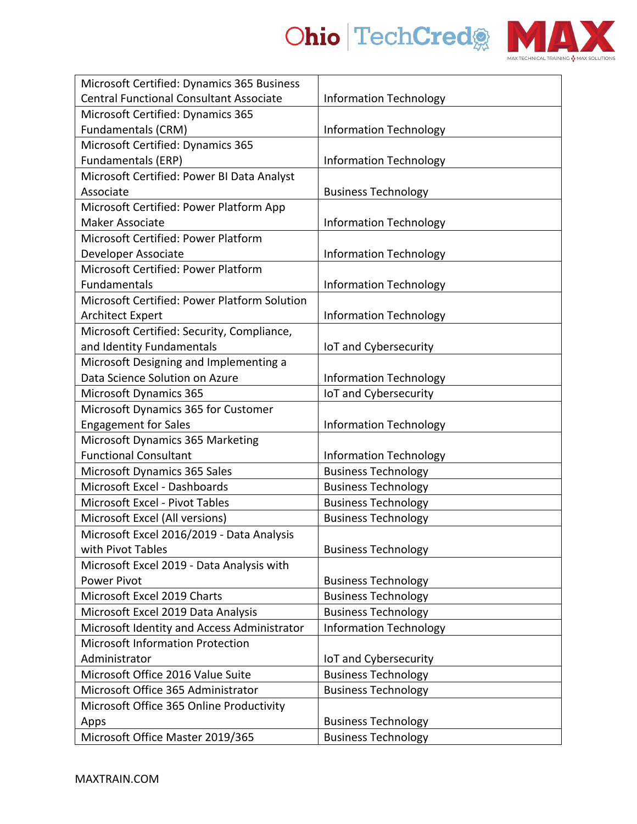



| Microsoft Certified: Dynamics 365 Business     |                               |
|------------------------------------------------|-------------------------------|
| <b>Central Functional Consultant Associate</b> | <b>Information Technology</b> |
| Microsoft Certified: Dynamics 365              |                               |
| Fundamentals (CRM)                             | <b>Information Technology</b> |
| Microsoft Certified: Dynamics 365              |                               |
| Fundamentals (ERP)                             | <b>Information Technology</b> |
| Microsoft Certified: Power BI Data Analyst     |                               |
| Associate                                      | <b>Business Technology</b>    |
| Microsoft Certified: Power Platform App        |                               |
| <b>Maker Associate</b>                         | <b>Information Technology</b> |
| Microsoft Certified: Power Platform            |                               |
| Developer Associate                            | <b>Information Technology</b> |
| Microsoft Certified: Power Platform            |                               |
| Fundamentals                                   | <b>Information Technology</b> |
| Microsoft Certified: Power Platform Solution   |                               |
| <b>Architect Expert</b>                        | <b>Information Technology</b> |
| Microsoft Certified: Security, Compliance,     |                               |
| and Identity Fundamentals                      | IoT and Cybersecurity         |
| Microsoft Designing and Implementing a         |                               |
| Data Science Solution on Azure                 | <b>Information Technology</b> |
| <b>Microsoft Dynamics 365</b>                  | IoT and Cybersecurity         |
| Microsoft Dynamics 365 for Customer            |                               |
| <b>Engagement for Sales</b>                    | <b>Information Technology</b> |
| Microsoft Dynamics 365 Marketing               |                               |
| <b>Functional Consultant</b>                   | <b>Information Technology</b> |
| Microsoft Dynamics 365 Sales                   | <b>Business Technology</b>    |
| Microsoft Excel - Dashboards                   | <b>Business Technology</b>    |
| <b>Microsoft Excel - Pivot Tables</b>          | <b>Business Technology</b>    |
| Microsoft Excel (All versions)                 | <b>Business Technology</b>    |
| Microsoft Excel 2016/2019 - Data Analysis      |                               |
| with Pivot Tables                              | <b>Business Technology</b>    |
| Microsoft Excel 2019 - Data Analysis with      |                               |
| <b>Power Pivot</b>                             | <b>Business Technology</b>    |
| Microsoft Excel 2019 Charts                    | <b>Business Technology</b>    |
| Microsoft Excel 2019 Data Analysis             | <b>Business Technology</b>    |
| Microsoft Identity and Access Administrator    | <b>Information Technology</b> |
| Microsoft Information Protection               |                               |
| Administrator                                  | IoT and Cybersecurity         |
| Microsoft Office 2016 Value Suite              | <b>Business Technology</b>    |
| Microsoft Office 365 Administrator             | <b>Business Technology</b>    |
| Microsoft Office 365 Online Productivity       |                               |
| Apps                                           | <b>Business Technology</b>    |
| Microsoft Office Master 2019/365               | <b>Business Technology</b>    |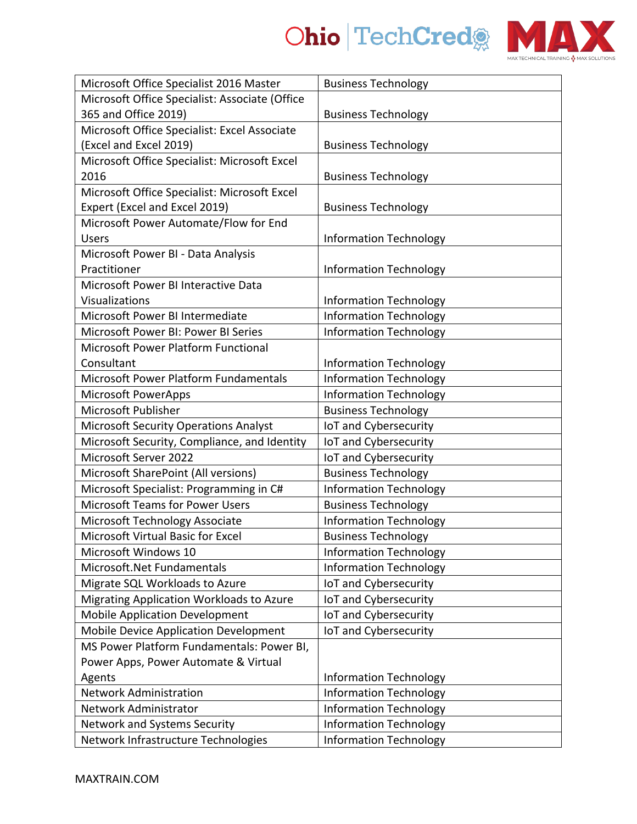

| Microsoft Office Specialist 2016 Master        | <b>Business Technology</b>    |
|------------------------------------------------|-------------------------------|
| Microsoft Office Specialist: Associate (Office |                               |
| 365 and Office 2019)                           | <b>Business Technology</b>    |
| Microsoft Office Specialist: Excel Associate   |                               |
| (Excel and Excel 2019)                         | <b>Business Technology</b>    |
| Microsoft Office Specialist: Microsoft Excel   |                               |
| 2016                                           | <b>Business Technology</b>    |
| Microsoft Office Specialist: Microsoft Excel   |                               |
| Expert (Excel and Excel 2019)                  | <b>Business Technology</b>    |
| Microsoft Power Automate/Flow for End          |                               |
| <b>Users</b>                                   | <b>Information Technology</b> |
| Microsoft Power BI - Data Analysis             |                               |
| Practitioner                                   | <b>Information Technology</b> |
| Microsoft Power BI Interactive Data            |                               |
| Visualizations                                 | <b>Information Technology</b> |
| Microsoft Power BI Intermediate                | <b>Information Technology</b> |
| Microsoft Power BI: Power BI Series            | <b>Information Technology</b> |
| <b>Microsoft Power Platform Functional</b>     |                               |
| Consultant                                     | <b>Information Technology</b> |
| Microsoft Power Platform Fundamentals          | <b>Information Technology</b> |
| <b>Microsoft PowerApps</b>                     | <b>Information Technology</b> |
| Microsoft Publisher                            | <b>Business Technology</b>    |
| <b>Microsoft Security Operations Analyst</b>   | IoT and Cybersecurity         |
| Microsoft Security, Compliance, and Identity   | IoT and Cybersecurity         |
| Microsoft Server 2022                          | IoT and Cybersecurity         |
| Microsoft SharePoint (All versions)            | <b>Business Technology</b>    |
| Microsoft Specialist: Programming in C#        | <b>Information Technology</b> |
| <b>Microsoft Teams for Power Users</b>         | <b>Business Technology</b>    |
| Microsoft Technology Associate                 | <b>Information Technology</b> |
| Microsoft Virtual Basic for Excel              | <b>Business Technology</b>    |
| Microsoft Windows 10                           | <b>Information Technology</b> |
| Microsoft.Net Fundamentals                     | <b>Information Technology</b> |
| Migrate SQL Workloads to Azure                 | IoT and Cybersecurity         |
| Migrating Application Workloads to Azure       | IoT and Cybersecurity         |
| <b>Mobile Application Development</b>          | IoT and Cybersecurity         |
| Mobile Device Application Development          | IoT and Cybersecurity         |
| MS Power Platform Fundamentals: Power BI,      |                               |
| Power Apps, Power Automate & Virtual           |                               |
| Agents                                         | <b>Information Technology</b> |
| <b>Network Administration</b>                  | <b>Information Technology</b> |
| Network Administrator                          | <b>Information Technology</b> |
| <b>Network and Systems Security</b>            | <b>Information Technology</b> |
| Network Infrastructure Technologies            | <b>Information Technology</b> |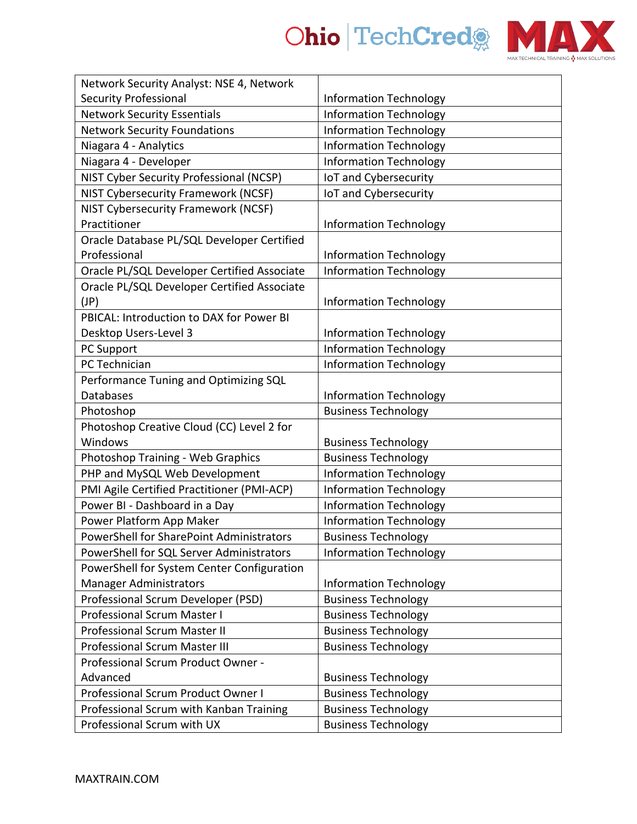

| Network Security Analyst: NSE 4, Network    |                               |
|---------------------------------------------|-------------------------------|
| <b>Security Professional</b>                | <b>Information Technology</b> |
| <b>Network Security Essentials</b>          | <b>Information Technology</b> |
| <b>Network Security Foundations</b>         | <b>Information Technology</b> |
| Niagara 4 - Analytics                       | <b>Information Technology</b> |
| Niagara 4 - Developer                       | <b>Information Technology</b> |
| NIST Cyber Security Professional (NCSP)     | IoT and Cybersecurity         |
| NIST Cybersecurity Framework (NCSF)         | IoT and Cybersecurity         |
| NIST Cybersecurity Framework (NCSF)         |                               |
| Practitioner                                | <b>Information Technology</b> |
| Oracle Database PL/SQL Developer Certified  |                               |
| Professional                                | <b>Information Technology</b> |
| Oracle PL/SQL Developer Certified Associate | <b>Information Technology</b> |
| Oracle PL/SQL Developer Certified Associate |                               |
| (JP)                                        | <b>Information Technology</b> |
| PBICAL: Introduction to DAX for Power BI    |                               |
| Desktop Users-Level 3                       | <b>Information Technology</b> |
| PC Support                                  | <b>Information Technology</b> |
| PC Technician                               | <b>Information Technology</b> |
| Performance Tuning and Optimizing SQL       |                               |
| Databases                                   | <b>Information Technology</b> |
| Photoshop                                   | <b>Business Technology</b>    |
| Photoshop Creative Cloud (CC) Level 2 for   |                               |
| Windows                                     | <b>Business Technology</b>    |
| Photoshop Training - Web Graphics           | <b>Business Technology</b>    |
| PHP and MySQL Web Development               | <b>Information Technology</b> |
| PMI Agile Certified Practitioner (PMI-ACP)  | <b>Information Technology</b> |
| Power BI - Dashboard in a Day               | <b>Information Technology</b> |
| Power Platform App Maker                    | <b>Information Technology</b> |
| PowerShell for SharePoint Administrators    | <b>Business Technology</b>    |
| PowerShell for SQL Server Administrators    | <b>Information Technology</b> |
| PowerShell for System Center Configuration  |                               |
| <b>Manager Administrators</b>               | <b>Information Technology</b> |
| Professional Scrum Developer (PSD)          | <b>Business Technology</b>    |
| <b>Professional Scrum Master I</b>          | <b>Business Technology</b>    |
| <b>Professional Scrum Master II</b>         | <b>Business Technology</b>    |
| <b>Professional Scrum Master III</b>        | <b>Business Technology</b>    |
| Professional Scrum Product Owner -          |                               |
| Advanced                                    | <b>Business Technology</b>    |
| Professional Scrum Product Owner I          | <b>Business Technology</b>    |
| Professional Scrum with Kanban Training     | <b>Business Technology</b>    |
| Professional Scrum with UX                  | <b>Business Technology</b>    |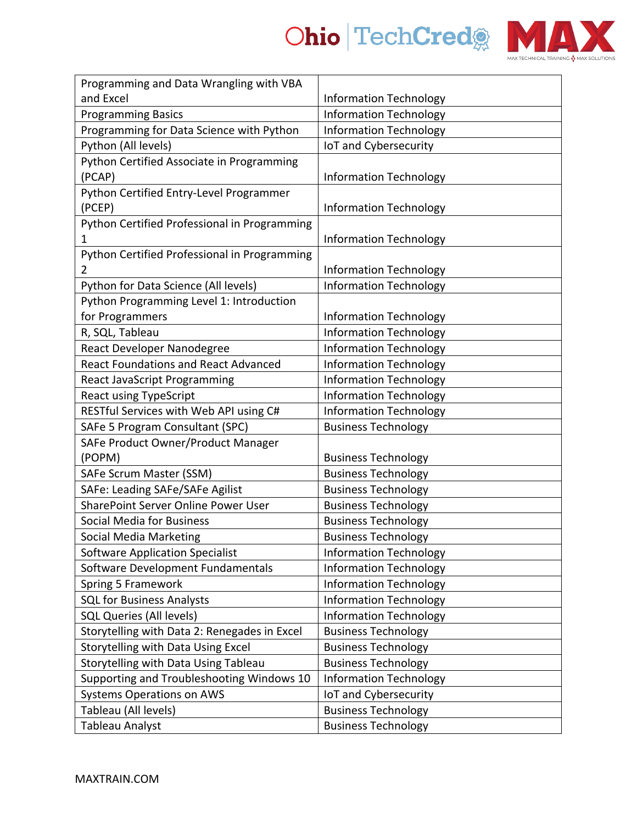

| Programming and Data Wrangling with VBA      |                               |
|----------------------------------------------|-------------------------------|
| and Excel                                    | <b>Information Technology</b> |
| <b>Programming Basics</b>                    | <b>Information Technology</b> |
| Programming for Data Science with Python     | <b>Information Technology</b> |
| Python (All levels)                          | IoT and Cybersecurity         |
| Python Certified Associate in Programming    |                               |
| (PCAP)                                       | <b>Information Technology</b> |
| Python Certified Entry-Level Programmer      |                               |
| (PCEP)                                       | <b>Information Technology</b> |
| Python Certified Professional in Programming |                               |
| 1                                            | <b>Information Technology</b> |
| Python Certified Professional in Programming |                               |
| 2                                            | <b>Information Technology</b> |
| Python for Data Science (All levels)         | <b>Information Technology</b> |
| Python Programming Level 1: Introduction     |                               |
| for Programmers                              | <b>Information Technology</b> |
| R, SQL, Tableau                              | <b>Information Technology</b> |
| React Developer Nanodegree                   | <b>Information Technology</b> |
| <b>React Foundations and React Advanced</b>  | <b>Information Technology</b> |
| <b>React JavaScript Programming</b>          | <b>Information Technology</b> |
| <b>React using TypeScript</b>                | <b>Information Technology</b> |
| RESTful Services with Web API using C#       | <b>Information Technology</b> |
| SAFe 5 Program Consultant (SPC)              | <b>Business Technology</b>    |
| SAFe Product Owner/Product Manager           |                               |
| (POPM)                                       | <b>Business Technology</b>    |
| SAFe Scrum Master (SSM)                      | <b>Business Technology</b>    |
| SAFe: Leading SAFe/SAFe Agilist              | <b>Business Technology</b>    |
| SharePoint Server Online Power User          | <b>Business Technology</b>    |
| Social Media for Business                    | <b>Business Technology</b>    |
| <b>Social Media Marketing</b>                | <b>Business Technology</b>    |
| <b>Software Application Specialist</b>       | <b>Information Technology</b> |
| Software Development Fundamentals            | <b>Information Technology</b> |
| Spring 5 Framework                           | <b>Information Technology</b> |
| <b>SQL for Business Analysts</b>             | <b>Information Technology</b> |
| <b>SQL Queries (All levels)</b>              | <b>Information Technology</b> |
| Storytelling with Data 2: Renegades in Excel | <b>Business Technology</b>    |
| Storytelling with Data Using Excel           | <b>Business Technology</b>    |
| Storytelling with Data Using Tableau         | <b>Business Technology</b>    |
| Supporting and Troubleshooting Windows 10    | <b>Information Technology</b> |
| <b>Systems Operations on AWS</b>             | IoT and Cybersecurity         |
| Tableau (All levels)                         | <b>Business Technology</b>    |
| Tableau Analyst                              | <b>Business Technology</b>    |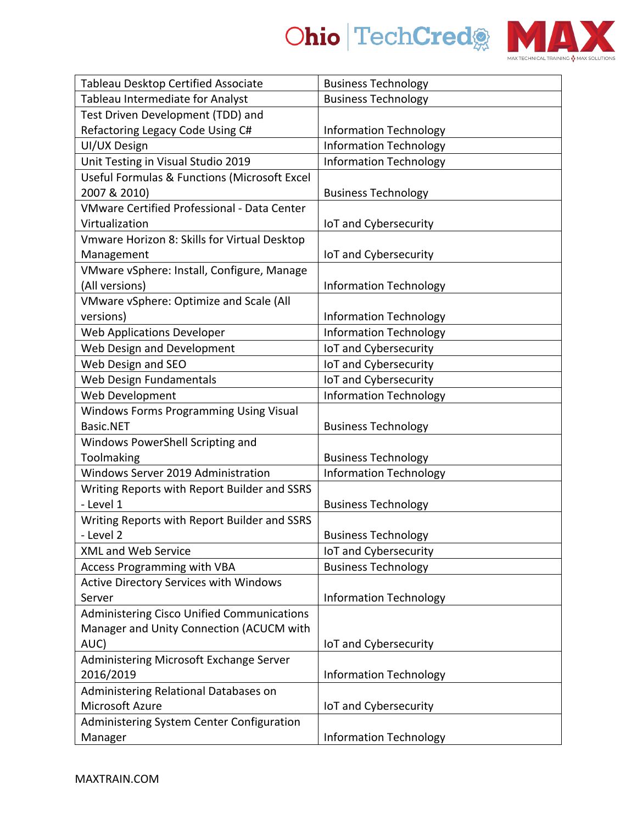



| Tableau Desktop Certified Associate                | <b>Business Technology</b>    |
|----------------------------------------------------|-------------------------------|
| Tableau Intermediate for Analyst                   | <b>Business Technology</b>    |
| Test Driven Development (TDD) and                  |                               |
| Refactoring Legacy Code Using C#                   | <b>Information Technology</b> |
| UI/UX Design                                       | <b>Information Technology</b> |
| Unit Testing in Visual Studio 2019                 | <b>Information Technology</b> |
| Useful Formulas & Functions (Microsoft Excel       |                               |
| 2007 & 2010)                                       | <b>Business Technology</b>    |
| <b>VMware Certified Professional - Data Center</b> |                               |
| Virtualization                                     | IoT and Cybersecurity         |
| Vmware Horizon 8: Skills for Virtual Desktop       |                               |
| Management                                         | IoT and Cybersecurity         |
| VMware vSphere: Install, Configure, Manage         |                               |
| (All versions)                                     | <b>Information Technology</b> |
| VMware vSphere: Optimize and Scale (All            |                               |
| versions)                                          | <b>Information Technology</b> |
| <b>Web Applications Developer</b>                  | <b>Information Technology</b> |
| Web Design and Development                         | IoT and Cybersecurity         |
| Web Design and SEO                                 | IoT and Cybersecurity         |
| Web Design Fundamentals                            | IoT and Cybersecurity         |
| Web Development                                    | <b>Information Technology</b> |
| Windows Forms Programming Using Visual             |                               |
| Basic.NET                                          | <b>Business Technology</b>    |
| Windows PowerShell Scripting and                   |                               |
| Toolmaking                                         | <b>Business Technology</b>    |
| Windows Server 2019 Administration                 | <b>Information Technology</b> |
| Writing Reports with Report Builder and SSRS       |                               |
| - Level 1                                          | <b>Business Technology</b>    |
| Writing Reports with Report Builder and SSRS       |                               |
| - Level 2                                          | <b>Business Technology</b>    |
| <b>XML and Web Service</b>                         | IoT and Cybersecurity         |
| <b>Access Programming with VBA</b>                 | <b>Business Technology</b>    |
| <b>Active Directory Services with Windows</b>      |                               |
| Server                                             | <b>Information Technology</b> |
| <b>Administering Cisco Unified Communications</b>  |                               |
| Manager and Unity Connection (ACUCM with           |                               |
| AUC)                                               | IoT and Cybersecurity         |
| Administering Microsoft Exchange Server            |                               |
| 2016/2019                                          | <b>Information Technology</b> |
| Administering Relational Databases on              |                               |
| Microsoft Azure                                    | IoT and Cybersecurity         |
| Administering System Center Configuration          |                               |
| Manager                                            | <b>Information Technology</b> |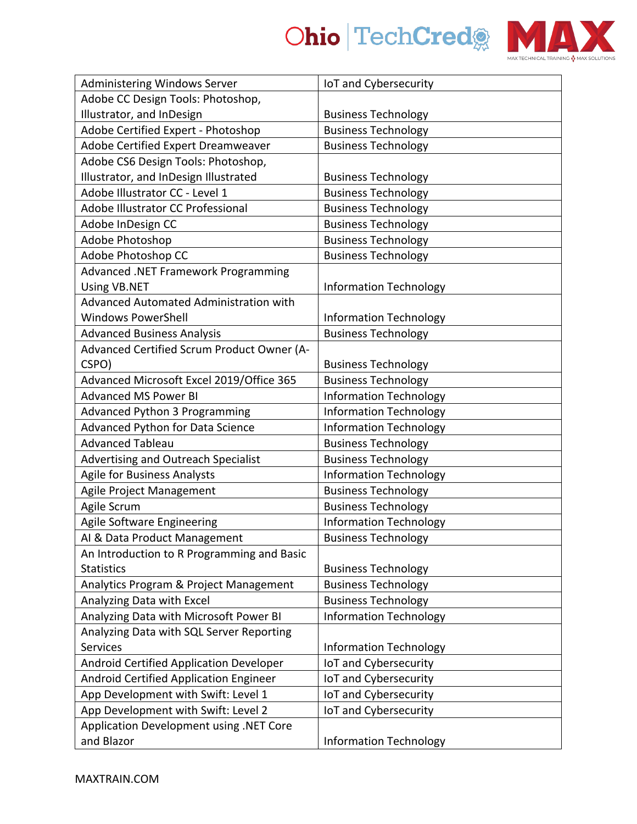



| <b>Administering Windows Server</b>        | IoT and Cybersecurity         |
|--------------------------------------------|-------------------------------|
| Adobe CC Design Tools: Photoshop,          |                               |
| Illustrator, and InDesign                  | <b>Business Technology</b>    |
| Adobe Certified Expert - Photoshop         | <b>Business Technology</b>    |
| Adobe Certified Expert Dreamweaver         | <b>Business Technology</b>    |
| Adobe CS6 Design Tools: Photoshop,         |                               |
| Illustrator, and InDesign Illustrated      | <b>Business Technology</b>    |
| Adobe Illustrator CC - Level 1             | <b>Business Technology</b>    |
| Adobe Illustrator CC Professional          | <b>Business Technology</b>    |
| Adobe InDesign CC                          | <b>Business Technology</b>    |
| Adobe Photoshop                            | <b>Business Technology</b>    |
| Adobe Photoshop CC                         | <b>Business Technology</b>    |
| Advanced .NET Framework Programming        |                               |
| <b>Using VB.NET</b>                        | <b>Information Technology</b> |
| Advanced Automated Administration with     |                               |
| <b>Windows PowerShell</b>                  | <b>Information Technology</b> |
| <b>Advanced Business Analysis</b>          | <b>Business Technology</b>    |
| Advanced Certified Scrum Product Owner (A- |                               |
| CSPO)                                      | <b>Business Technology</b>    |
| Advanced Microsoft Excel 2019/Office 365   | <b>Business Technology</b>    |
| <b>Advanced MS Power BI</b>                | <b>Information Technology</b> |
| <b>Advanced Python 3 Programming</b>       | <b>Information Technology</b> |
| Advanced Python for Data Science           | <b>Information Technology</b> |
| <b>Advanced Tableau</b>                    | <b>Business Technology</b>    |
| Advertising and Outreach Specialist        | <b>Business Technology</b>    |
| <b>Agile for Business Analysts</b>         | <b>Information Technology</b> |
| Agile Project Management                   | <b>Business Technology</b>    |
| Agile Scrum                                | <b>Business Technology</b>    |
| Agile Software Engineering                 | <b>Information Technology</b> |
| AI & Data Product Management               | <b>Business Technology</b>    |
| An Introduction to R Programming and Basic |                               |
| <b>Statistics</b>                          | <b>Business Technology</b>    |
| Analytics Program & Project Management     | <b>Business Technology</b>    |
| Analyzing Data with Excel                  | <b>Business Technology</b>    |
| Analyzing Data with Microsoft Power BI     | <b>Information Technology</b> |
| Analyzing Data with SQL Server Reporting   |                               |
| <b>Services</b>                            | <b>Information Technology</b> |
| Android Certified Application Developer    | IoT and Cybersecurity         |
| Android Certified Application Engineer     | IoT and Cybersecurity         |
| App Development with Swift: Level 1        | IoT and Cybersecurity         |
| App Development with Swift: Level 2        | IoT and Cybersecurity         |
| Application Development using .NET Core    |                               |
| and Blazor                                 | <b>Information Technology</b> |